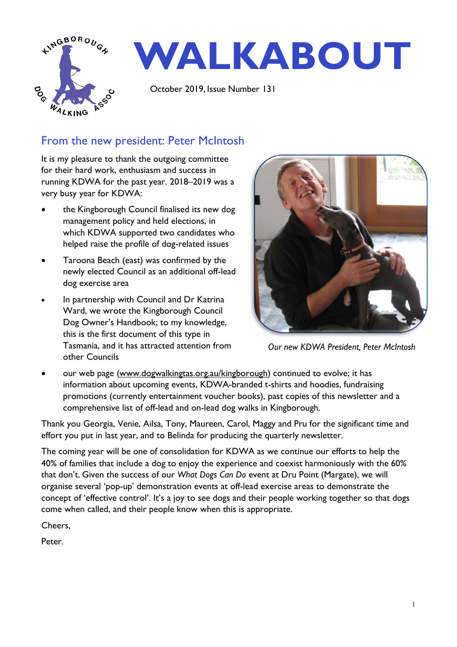

## From the new president: Peter McIntosh

It is my pleasure to thank the outgoing committee for their hard work, enthusiasm and success in running KDWA for the past year. 2018–2019 was a very busy year for KDWA:

- the Kingborough Council finalised its new dog management policy and held elections, in which KDWA supported two candidates who helped raise the profile of dog-related issues
- Taroona Beach (east) was confirmed by the newly elected Council as an additional off-lead dog exercise area
- In partnership with Council and Dr Katrina Ward, we wrote the Kingborough Council Dog Owner's Handbook; to my knowledge, this is the first document of this type in Tasmania, and it has attracted attention from other Councils



*Our new KDWA President, Peter McIntosh*

our web page [\(www.dogwalkingtas.org.au/kingborough\)](http://www.dogwalkingtas.org.au/kingborough) continued to evolve; it has information about upcoming events, KDWA-branded t-shirts and hoodies, fundraising promotions (currently entertainment voucher books), past copies of this newsletter and a comprehensive list of off-lead and on-lead dog walks in Kingborough.

Thank you Georgia, Venie, Ailsa, Tony, Maureen, Carol, Maggy and Pru for the significant time and effort you put in last year, and to Belinda for producing the quarterly newsletter.

The coming year will be one of consolidation for KDWA as we continue our efforts to help the 40% of families that include a dog to enjoy the experience and coexist harmoniously with the 60% that don't. Given the success of our *What Dogs Can Do* event at Dru Point (Margate), we will organise several 'pop-up' demonstration events at off-lead exercise areas to demonstrate the concept of 'effective control'. It's a joy to see dogs and their people working together so that dogs come when called, and their people know when this is appropriate.

Cheers,

Peter.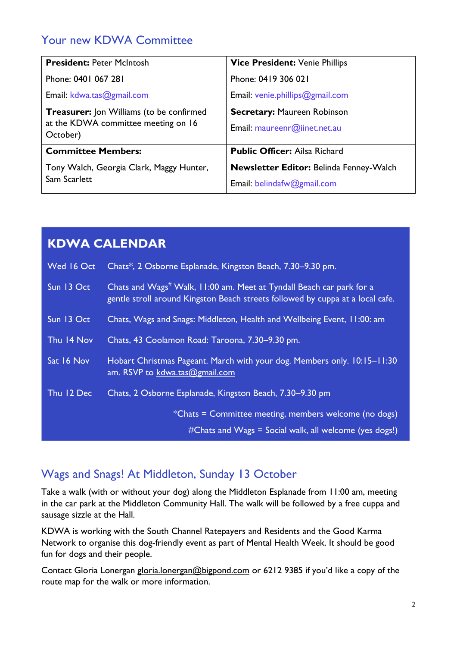# Your new KDWA Committee

| <b>President: Peter McIntosh</b>                                                                   | Vice President: Venie Phillips                                               |
|----------------------------------------------------------------------------------------------------|------------------------------------------------------------------------------|
| Phone: 0401 067 281                                                                                | Phone: 0419 306 021                                                          |
| Email: kdwa.tas@gmail.com                                                                          | Email: venie.phillips@gmail.com                                              |
| <b>Treasurer:</b> Jon Williams (to be confirmed<br>at the KDWA committee meeting on 16<br>October) | <b>Secretary: Maureen Robinson</b><br>Email: maureenr@iinet.net.au           |
| <b>Committee Members:</b>                                                                          | <b>Public Officer: Ailsa Richard</b>                                         |
| Tony Walch, Georgia Clark, Maggy Hunter,<br>Sam Scarlett                                           | <b>Newsletter Editor: Belinda Fenney-Walch</b><br>Email: belindafw@gmail.com |

|            | <b>KDWA CALENDAR</b>                                                                                                                                               |
|------------|--------------------------------------------------------------------------------------------------------------------------------------------------------------------|
| Wed 16 Oct | Chats*, 2 Osborne Esplanade, Kingston Beach, 7.30–9.30 pm.                                                                                                         |
| Sun 13 Oct | Chats and Wags <sup>#</sup> Walk, 11:00 am. Meet at Tyndall Beach car park for a<br>gentle stroll around Kingston Beach streets followed by cuppa at a local cafe. |
| Sun 13 Oct | Chats, Wags and Snags: Middleton, Health and Wellbeing Event, 11:00: am                                                                                            |
| Thu 14 Nov | Chats, 43 Coolamon Road: Taroona, 7.30-9.30 pm.                                                                                                                    |
| Sat 16 Nov | Hobart Christmas Pageant. March with your dog. Members only. 10:15-11:30<br>am. RSVP to kdwa.tas@gmail.com                                                         |
| Thu 12 Dec | Chats, 2 Osborne Esplanade, Kingston Beach, 7.30–9.30 pm                                                                                                           |
|            | *Chats = Committee meeting, members welcome (no dogs)<br>#Chats and Wags = Social walk, all welcome (yes dogs!)                                                    |

# Wags and Snags! At Middleton, Sunday 13 October

Take a walk (with or without your dog) along the Middleton Esplanade from 11:00 am, meeting in the car park at the Middleton Community Hall. The walk will be followed by a free cuppa and sausage sizzle at the Hall.

KDWA is working with the South Channel Ratepayers and Residents and the Good Karma Network to organise this dog-friendly event as part of Mental Health Week. It should be good fun for dogs and their people.

Contact Gloria Lonergan [gloria.lonergan@bigpond.com](mailto:gloria.lonergan@bigpond.com) or 6212 9385 if you'd like a copy of the route map for the walk or more information.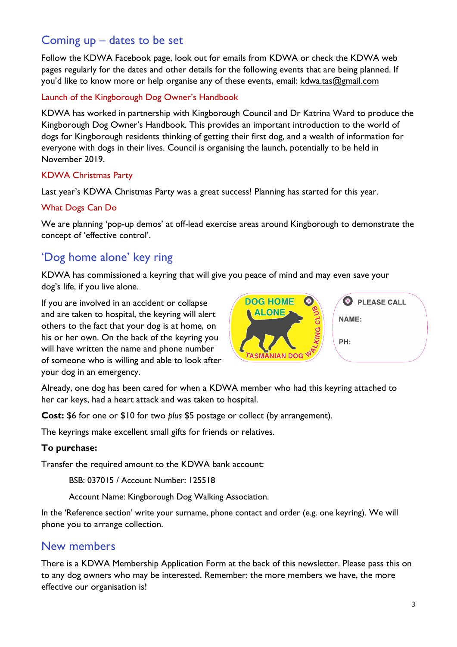## Coming up – dates to be set

Follow the KDWA Facebook page, look out for emails from KDWA or check the KDWA web pages regularly for the dates and other details for the following events that are being planned. If you'd like to know more or help organise any of these events, email: [kdwa.tas@gmail.com](mailto:kdwa.tas@gmail.com)

#### Launch of the Kingborough Dog Owner's Handbook

KDWA has worked in partnership with Kingborough Council and Dr Katrina Ward to produce the Kingborough Dog Owner's Handbook. This provides an important introduction to the world of dogs for Kingborough residents thinking of getting their first dog, and a wealth of information for everyone with dogs in their lives. Council is organising the launch, potentially to be held in November 2019.

#### KDWA Christmas Party

Last year's KDWA Christmas Party was a great success! Planning has started for this year.

#### What Dogs Can Do

We are planning 'pop-up demos' at off-lead exercise areas around Kingborough to demonstrate the concept of 'effective control'.

## 'Dog home alone' key ring

KDWA has commissioned a keyring that will give you peace of mind and may even save your dog's life, if you live alone.

If you are involved in an accident or collapse and are taken to hospital, the keyring will alert others to the fact that your dog is at home, on his or her own. On the back of the keyring you will have written the name and phone number of someone who is willing and able to look after your dog in an emergency.



Already, one dog has been cared for when a KDWA member who had this keyring attached to her car keys, had a heart attack and was taken to hospital.

**Cost:** \$6 for one or \$10 for two *plus* \$5 postage or collect (by arrangement).

The keyrings make excellent small gifts for friends or relatives.

#### **To purchase:**

Transfer the required amount to the KDWA bank account:

BSB: 037015 / Account Number: 125518

Account Name: Kingborough Dog Walking Association.

In the 'Reference section' write your surname, phone contact and order (e.g. one keyring). We will phone you to arrange collection.

### New members

There is a KDWA Membership Application Form at the back of this newsletter. Please pass this on to any dog owners who may be interested. Remember: the more members we have, the more effective our organisation is!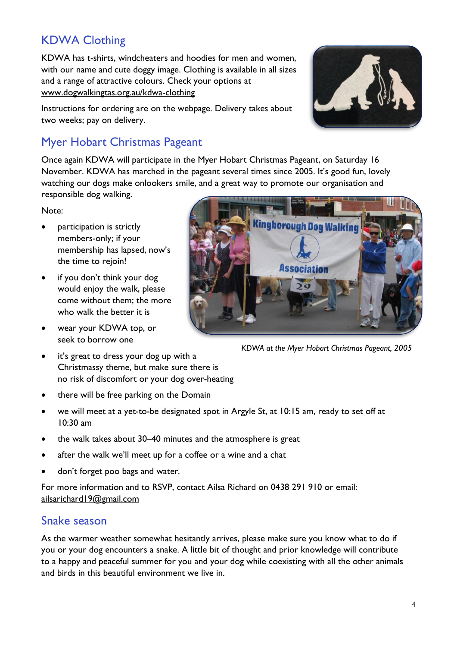# KDWA Clothing

KDWA has t-shirts, windcheaters and hoodies for men and women, with our name and cute doggy image. Clothing is available in all sizes and a range of attractive colours. Check your options at [www.dogwalkingtas.org.au/kdwa-clothing](http://www.dogwalkingtas.org.au/kdwa-clothing)



Instructions for ordering are on the webpage. Delivery takes about two weeks; pay on delivery.

# Myer Hobart Christmas Pageant

Once again KDWA will participate in the Myer Hobart Christmas Pageant, on Saturday 16 November. KDWA has marched in the pageant several times since 2005. It's good fun, lovely watching our dogs make onlookers smile, and a great way to promote our organisation and responsible dog walking.

Note:

- participation is strictly members-only; if your membership has lapsed, now's the time to rejoin!
- if you don't think your dog would enjoy the walk, please come without them; the more who walk the better it is
- wear your KDWA top, or seek to borrow one
- **Kingborough Dog Walking**

*KDWA at the Myer Hobart Christmas Pageant, 2005*

- it's great to dress your dog up with a Christmassy theme, but make sure there is no risk of discomfort or your dog over-heating
- there will be free parking on the Domain
- we will meet at a yet-to-be designated spot in Argyle St, at 10:15 am, ready to set off at 10:30 am
- the walk takes about 30–40 minutes and the atmosphere is great
- after the walk we'll meet up for a coffee or a wine and a chat
- don't forget poo bags and water*.*

For more information and to RSVP, contact Ailsa Richard on 0438 291 910 or email: [ailsarichard19@gmail.com](mailto:ailsarichard19@gmail.com)

### Snake season

As the warmer weather somewhat hesitantly arrives, please make sure you know what to do if you or your dog encounters a snake. A little bit of thought and prior knowledge will contribute to a happy and peaceful summer for you and your dog while coexisting with all the other animals and birds in this beautiful environment we live in.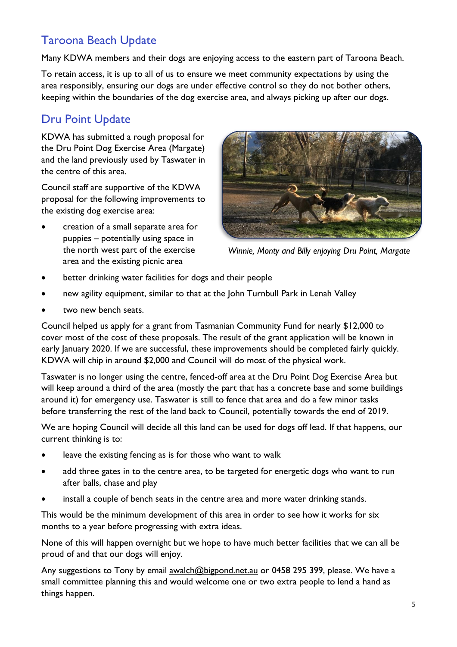# Taroona Beach Update

Many KDWA members and their dogs are enjoying access to the eastern part of Taroona Beach.

To retain access, it is up to all of us to ensure we meet community expectations by using the area responsibly, ensuring our dogs are under effective control so they do not bother others, keeping within the boundaries of the dog exercise area, and always picking up after our dogs.

## Dru Point Update

KDWA has submitted a rough proposal for the Dru Point Dog Exercise Area (Margate) and the land previously used by Taswater in the centre of this area.

Council staff are supportive of the KDWA proposal for the following improvements to the existing dog exercise area:

• creation of a small separate area for puppies – potentially using space in the north west part of the exercise area and the existing picnic area



*Winnie, Monty and Billy enjoying Dru Point, Margate*

- better drinking water facilities for dogs and their people
- new agility equipment, similar to that at the John Turnbull Park in Lenah Valley
- two new bench seats.

Council helped us apply for a grant from Tasmanian Community Fund for nearly \$12,000 to cover most of the cost of these proposals. The result of the grant application will be known in early January 2020. If we are successful, these improvements should be completed fairly quickly. KDWA will chip in around \$2,000 and Council will do most of the physical work.

Taswater is no longer using the centre, fenced-off area at the Dru Point Dog Exercise Area but will keep around a third of the area (mostly the part that has a concrete base and some buildings around it) for emergency use. Taswater is still to fence that area and do a few minor tasks before transferring the rest of the land back to Council, potentially towards the end of 2019.

We are hoping Council will decide all this land can be used for dogs off lead. If that happens, our current thinking is to:

- leave the existing fencing as is for those who want to walk
- add three gates in to the centre area, to be targeted for energetic dogs who want to run after balls, chase and play
- install a couple of bench seats in the centre area and more water drinking stands.

This would be the minimum development of this area in order to see how it works for six months to a year before progressing with extra ideas.

None of this will happen overnight but we hope to have much better facilities that we can all be proud of and that our dogs will enjoy.

Any suggestions to Tony by email [awalch@bigpond.net.au](mailto:awalch@bigpond.net.au) or 0458 295 399, please. We have a small committee planning this and would welcome one or two extra people to lend a hand as things happen.